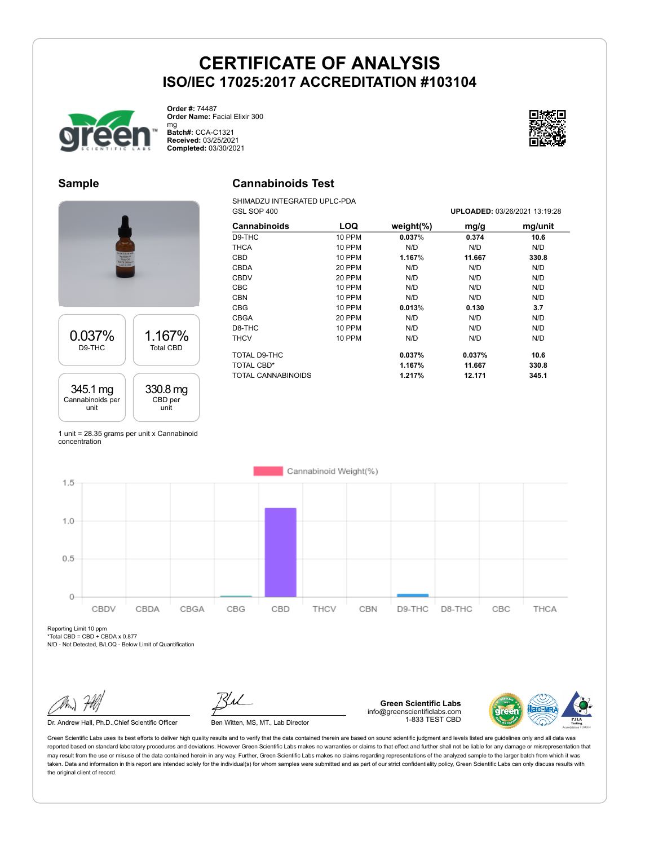

**Order #:** 74487 **Order Name:** Facial Elixir 300

mg **Batch#:** CCA-C1321 **Received:** 03/25/2021 **Completed:** 03/30/2021



#### **Sample**

0.037% D9-THC

345.1 mg Cannabinoids per unit

### **Cannabinoids Test**

SHIMADZU INTEGRATED UPLC-PDA

|                                              | GSL SOP 400               |               |               | UPLOADED: 03/26/2021 13:19:2 |         |
|----------------------------------------------|---------------------------|---------------|---------------|------------------------------|---------|
|                                              | <b>Cannabinoids</b>       | <b>LOQ</b>    | weight $(\%)$ | mg/g                         | mg/unit |
|                                              | D9-THC                    | 10 PPM        | 0.037%        | 0.374                        | 10.6    |
|                                              | <b>THCA</b>               | <b>10 PPM</b> | N/D           | N/D                          | N/D     |
| ince &<br>Lane &<br>e Oil<br>300mpl<br>C1321 | <b>CBD</b>                | 10 PPM        | 1.167%        | 11.667                       | 330.8   |
|                                              | <b>CBDA</b>               | 20 PPM        | N/D           | N/D                          | N/D     |
|                                              | <b>CBDV</b>               | 20 PPM        | N/D           | N/D                          | N/D     |
|                                              | <b>CBC</b>                | 10 PPM        | N/D           | N/D                          | N/D     |
|                                              | <b>CBN</b>                | 10 PPM        | N/D           | N/D                          | N/D     |
|                                              | <b>CBG</b>                | 10 PPM        | 0.013%        | 0.130                        | 3.7     |
|                                              | <b>CBGA</b>               | 20 PPM        | N/D           | N/D                          | N/D     |
|                                              | D8-THC                    | 10 PPM        | N/D           | N/D                          | N/D     |
| 1.167%<br><b>Total CBD</b>                   | <b>THCV</b>               | 10 PPM        | N/D           | N/D                          | N/D     |
|                                              | TOTAL D9-THC              |               | 0.037%        | 0.037%                       | 10.6    |
|                                              | TOTAL CBD*                |               | 1.167%        | 11.667                       | 330.8   |
|                                              | <b>TOTAL CANNABINOIDS</b> |               | 1.217%        | 12.171                       | 345.1   |
| 330.8 mg<br>CBD per                          |                           |               |               |                              |         |

1 unit = 28.35 grams per unit x Cannabinoid concentration

unit



Reporting Limit 10 ppm

 $*Total CBD = CBD + CBDA \times 0.877$ N/D - Not Detected, B/LOQ - Below Limit of Quantification

Dr. Andrew Hall, Ph.D., Chief Scientific Officer Ben Witten, MS, MT., Lab Director

**Green Scientific Labs** info@greenscientificlabs.com 1-833 TEST CBD



Green Scientific Labs uses its best efforts to deliver high quality results and to verify that the data contained therein are based on sound scientific judgment and levels listed are guidelines only and all data was reported based on standard laboratory procedures and deviations. However Green Scientific Labs makes no warranties or claims to that effect and further shall not be liable for any damage or misrepresentation that may result from the use or misuse of the data contained herein in any way. Further, Green Scientific Labs makes no claims regarding representations of the analyzed sample to the larger batch from which it was taken. Data and information in this report are intended solely for the individual(s) for whom samples were submitted and as part of our strict confidentiality policy, Green Scientific Labs can only discuss results with the original client of record.

GSL SOP 400 **UPLOADED:** 03/26/2021 13:19:28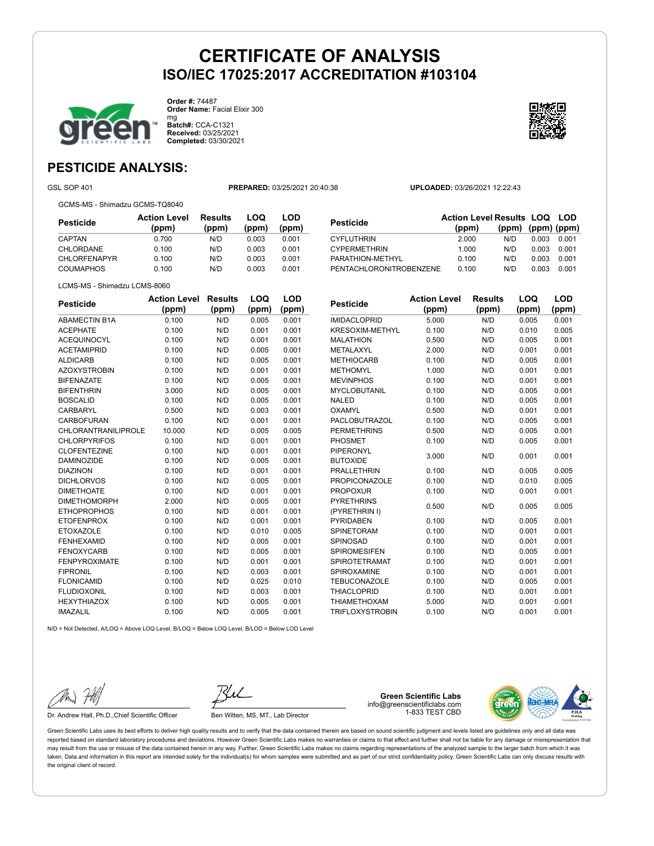

**Order #:** 74487 **Order Name:** Facial Elixir 300 mg **Batch#:** CCA-C1321

**Received:** 03/25/2021 **Completed:** 03/30/2021



### **PESTICIDE ANALYSIS:**

GSL SOP 401 **PREPARED:** 03/25/2021 20:40:38 **UPLOADED:** 03/26/2021 12:22:43

GCMS-MS - Shimadzu GCMS-TQ8040

| <b>Action Level</b><br>(ppm) | <b>Results</b><br>(ppm) | LOQ<br>(ppm) | LOD<br>(ppm) |
|------------------------------|-------------------------|--------------|--------------|
| 0.700                        | N/D                     | 0.003        | 0.001        |
| 0.100                        | N/D                     | 0.003        | 0.001        |
| 0.100                        | N/D                     | 0.003        | 0.001        |
| 0.100                        | N/D                     | 0.003        | 0.001        |
|                              |                         |              |              |

| Pesticide               | <b>Action Level Results LOQ LOD</b> |                         |       |       |
|-------------------------|-------------------------------------|-------------------------|-------|-------|
|                         | (ppm)                               | $(ppm)$ $(ppm)$ $(ppm)$ |       |       |
| CYFLUTHRIN              | 2.000                               | N/D                     | 0.003 | 0.001 |
| <b>CYPERMETHRIN</b>     | 1.000                               | N/D                     | 0.003 | 0.001 |
| PARATHION-METHYL        | 0.100                               | N/D                     | 0.003 | 0.001 |
| PENTACHLORONITROBENZENE | 0.100                               | N/D                     | 0.003 | 0.001 |
|                         |                                     |                         |       |       |

LCMS-MS - Shimadzu LCMS-8060

| <b>Pesticide</b>     | <b>Action Level</b> | <b>Results</b> | LOQ   | LOD   |
|----------------------|---------------------|----------------|-------|-------|
|                      | (ppm)               | (ppm)          | (ppm) | (ppm) |
| <b>ABAMECTIN B1A</b> | 0.100               | N/D            | 0.005 | 0.001 |
| <b>ACEPHATE</b>      | 0.100               | N/D            | 0.001 | 0.001 |
| <b>ACEQUINOCYL</b>   | 0.100               | N/D            | 0.001 | 0.001 |
| <b>ACETAMIPRID</b>   | 0.100               | N/D            | 0.005 | 0.001 |
| <b>ALDICARB</b>      | 0.100               | N/D            | 0.005 | 0.001 |
| <b>AZOXYSTROBIN</b>  | 0.100               | N/D            | 0.001 | 0.001 |
| <b>BIFENAZATE</b>    | 0.100               | N/D            | 0.005 | 0.001 |
| <b>BIFENTHRIN</b>    | 3.000               | N/D            | 0.005 | 0.001 |
| <b>BOSCALID</b>      | 0.100               | N/D            | 0.005 | 0.001 |
| CARBARYL             | 0.500               | N/D            | 0.003 | 0.001 |
| CARBOFURAN           | 0.100               | N/D            | 0.001 | 0.001 |
| CHLORANTRANILIPROLE  | 10.000              | N/D            | 0.005 | 0.005 |
| <b>CHLORPYRIFOS</b>  | 0.100               | N/D            | 0.001 | 0.001 |
| <b>CLOFENTEZINE</b>  | 0.100               | N/D            | 0.001 | 0.001 |
| <b>DAMINOZIDE</b>    | 0.100               | N/D            | 0.005 | 0.001 |
| <b>DIAZINON</b>      | 0.100               | N/D            | 0.001 | 0.001 |
| <b>DICHLORVOS</b>    | 0.100               | N/D            | 0.005 | 0.001 |
| <b>DIMETHOATE</b>    | 0.100               | N/D            | 0.001 | 0.001 |
| <b>DIMETHOMORPH</b>  | 2.000               | N/D            | 0.005 | 0.001 |
| <b>ETHOPROPHOS</b>   | 0.100               | N/D            | 0.001 | 0.001 |
| <b>ETOFENPROX</b>    | 0.100               | N/D            | 0.001 | 0.001 |
| <b>ETOXAZOLE</b>     | 0.100               | N/D            | 0.010 | 0.005 |
| <b>FENHEXAMID</b>    | 0.100               | N/D            | 0.005 | 0.001 |
| <b>FENOXYCARB</b>    | 0.100               | N/D            | 0.005 | 0.001 |
| <b>FENPYROXIMATE</b> | 0.100               | N/D            | 0.001 | 0.001 |
| <b>FIPRONIL</b>      | 0.100               | N/D            | 0.003 | 0.001 |
| <b>FLONICAMID</b>    | 0.100               | N/D            | 0.025 | 0.010 |
| <b>FLUDIOXONIL</b>   | 0.100               | N/D            | 0.003 | 0.001 |
| <b>HEXYTHIAZOX</b>   | 0.100               | N/D            | 0.005 | 0.001 |
| <b>IMAZALIL</b>      | 0.100               | N/D            | 0.005 | 0.001 |

| Pesticide              | <b>Action Level</b> | <b>Results</b> | LOQ   | LOD   |
|------------------------|---------------------|----------------|-------|-------|
|                        | (ppm)               | (ppm)          | (ppm) | (ppm) |
| <b>IMIDACLOPRID</b>    | 5.000               | N/D            | 0.005 | 0.001 |
| <b>KRESOXIM-METHYL</b> | 0.100               | N/D            | 0.010 | 0.005 |
| <b>MALATHION</b>       | 0.500               | N/D            | 0.005 | 0.001 |
| METALAXYL              | 2.000               | N/D            | 0.001 | 0.001 |
| <b>METHIOCARB</b>      | 0.100               | N/D            | 0.005 | 0.001 |
| <b>METHOMYL</b>        | 1.000               | N/D            | 0.001 | 0.001 |
| <b>MEVINPHOS</b>       | 0.100               | N/D            | 0.001 | 0.001 |
| <b>MYCLOBUTANIL</b>    | 0.100               | N/D            | 0.005 | 0.001 |
| <b>NALED</b>           | 0.100               | N/D            | 0.005 | 0.001 |
| OXAMYL                 | 0.500               | N/D            | 0.001 | 0.001 |
| <b>PACLOBUTRAZOL</b>   | 0.100               | N/D            | 0.005 | 0.001 |
| <b>PERMETHRINS</b>     | 0.500               | N/D            | 0.005 | 0.001 |
| <b>PHOSMET</b>         | 0.100               | N/D            | 0.005 | 0.001 |
| PIPERONYL              |                     |                |       |       |
| <b>BUTOXIDE</b>        | 3.000               | N/D            | 0.001 | 0.001 |
| <b>PRALLETHRIN</b>     | 0.100               | N/D            | 0.005 | 0.005 |
| <b>PROPICONAZOLE</b>   | 0.100               | N/D            | 0.010 | 0.005 |
| <b>PROPOXUR</b>        | 0.100               | N/D            | 0.001 | 0.001 |
| <b>PYRETHRINS</b>      |                     | N/D            |       |       |
| (PYRETHRIN I)          | 0.500               |                | 0.005 | 0.005 |
| <b>PYRIDABEN</b>       | 0.100               | N/D            | 0.005 | 0.001 |
| <b>SPINETORAM</b>      | 0.100               | N/D            | 0.001 | 0.001 |
| SPINOSAD               | 0.100               | N/D            | 0.001 | 0.001 |
| <b>SPIROMESIFEN</b>    | 0.100               | N/D            | 0.005 | 0.001 |
| <b>SPIROTETRAMAT</b>   | 0.100               | N/D            | 0.001 | 0.001 |
| SPIROXAMINE            | 0.100               | N/D            | 0.001 | 0.001 |
| <b>TEBUCONAZOLE</b>    | 0.100               | N/D            | 0.005 | 0.001 |
| <b>THIACLOPRID</b>     | 0.100               | N/D            | 0.001 | 0.001 |
| <b>THIAMETHOXAM</b>    | 5.000               | N/D            | 0.001 | 0.001 |
| <b>TRIFLOXYSTROBIN</b> | 0.100               | N/D            | 0.001 | 0.001 |

N/D = Not Detected, A/LOQ = Above LOQ Level, B/LOQ = Below LOQ Level, B/LOD = Below LOD Level

Dr. Andrew Hall, Ph.D., Chief Scientific Officer Ben Witten, MS, MT., Lab Director

**Green Scientific Labs** info@greenscientificlabs.com 1-833 TEST CBD



Green Scientific Labs uses its best efforts to deliver high quality results and to verify that the data contained therein are based on sound scientific judgment and levels listed are guidelines only and all data was reported based on standard laboratory procedures and deviations. However Green Scientific Labs makes no warranties or claims to that effect and further shall not be liable for any damage or misrepresentation that may result from the use or misuse of the data contained herein in any way. Further, Green Scientific Labs makes no claims regarding representations of the analyzed sample to the larger batch from which it was taken. Data and information in this report are intended solely for the individual(s) for whom samples were submitted and as part of our strict confidentiality policy, Green Scientific Labs can only discuss results with the original client of record.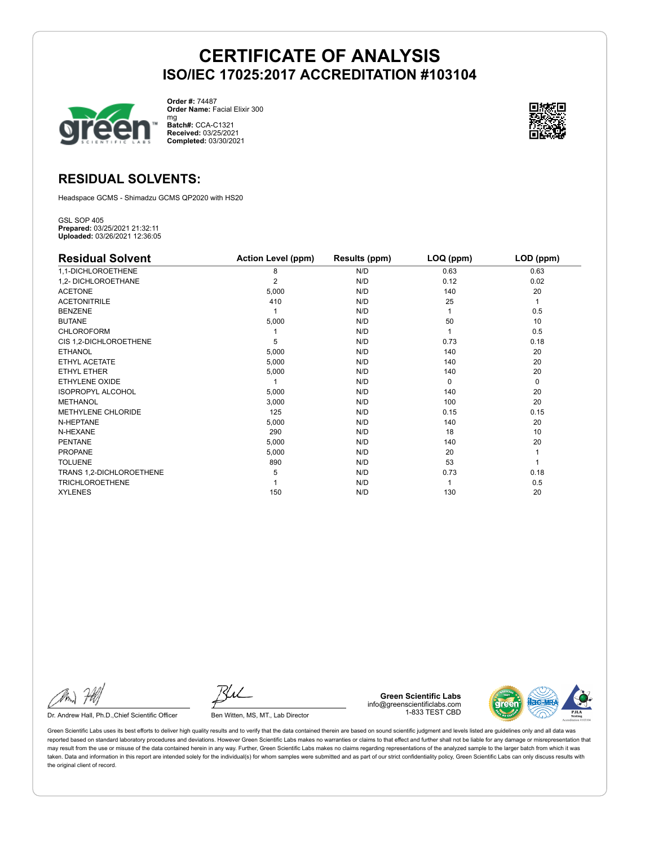

**Order #:** 74487 **Order Name:** Facial Elixir 300 mg

**Batch#:** CCA-C1321 **Received:** 03/25/2021 **Completed:** 03/30/2021



### **RESIDUAL SOLVENTS:**

Headspace GCMS - Shimadzu GCMS QP2020 with HS20

GSL SOP 405 **Prepared:** 03/25/2021 21:32:11 **Uploaded:** 03/26/2021 12:36:05

| <b>Residual Solvent</b>  | <b>Action Level (ppm)</b> | Results (ppm) | LOQ (ppm) | LOD (ppm) |
|--------------------------|---------------------------|---------------|-----------|-----------|
| 1,1-DICHLOROETHENE       | 8                         | N/D           | 0.63      | 0.63      |
| 1,2- DICHLOROETHANE      | $\overline{2}$            | N/D           | 0.12      | 0.02      |
| <b>ACETONE</b>           | 5,000                     | N/D           | 140       | 20        |
| <b>ACETONITRILE</b>      | 410                       | N/D           | 25        | 1         |
| <b>BENZENE</b>           |                           | N/D           |           | 0.5       |
| <b>BUTANE</b>            | 5,000                     | N/D           | 50        | 10        |
| <b>CHLOROFORM</b>        |                           | N/D           |           | 0.5       |
| CIS 1,2-DICHLOROETHENE   | 5                         | N/D           | 0.73      | 0.18      |
| <b>ETHANOL</b>           | 5,000                     | N/D           | 140       | 20        |
| ETHYL ACETATE            | 5,000                     | N/D           | 140       | 20        |
| <b>ETHYL ETHER</b>       | 5,000                     | N/D           | 140       | 20        |
| ETHYLENE OXIDE           |                           | N/D           | $\Omega$  | 0         |
| <b>ISOPROPYL ALCOHOL</b> | 5,000                     | N/D           | 140       | 20        |
| <b>METHANOL</b>          | 3,000                     | N/D           | 100       | 20        |
| METHYLENE CHLORIDE       | 125                       | N/D           | 0.15      | 0.15      |
| N-HEPTANE                | 5,000                     | N/D           | 140       | 20        |
| N-HEXANE                 | 290                       | N/D           | 18        | 10        |
| <b>PENTANE</b>           | 5,000                     | N/D           | 140       | 20        |
| <b>PROPANE</b>           | 5,000                     | N/D           | 20        |           |
| <b>TOLUENE</b>           | 890                       | N/D           | 53        |           |
| TRANS 1,2-DICHLOROETHENE | 5                         | N/D           | 0.73      | 0.18      |
| <b>TRICHLOROETHENE</b>   |                           | N/D           |           | 0.5       |
| <b>XYLENES</b>           | 150                       | N/D           | 130       | 20        |

Dr. Andrew Hall, Ph.D., Chief Scientific Officer Ben Witten, MS, MT., Lab Director

**Green Scientific Labs** info@greenscientificlabs.com 1-833 TEST CBD



Green Scientific Labs uses its best efforts to deliver high quality results and to verify that the data contained therein are based on sound scientific judgment and levels listed are guidelines only and all data was reported based on standard laboratory procedures and deviations. However Green Scientific Labs makes no warranties or claims to that effect and further shall not be liable for any damage or misrepresentation that may result from the use or misuse of the data contained herein in any way. Further, Green Scientific Labs makes no claims regarding representations of the analyzed sample to the larger batch from which it was taken. Data and information in this report are intended solely for the individual(s) for whom samples were submitted and as part of our strict confidentiality policy, Green Scientific Labs can only discuss results with the original client of record.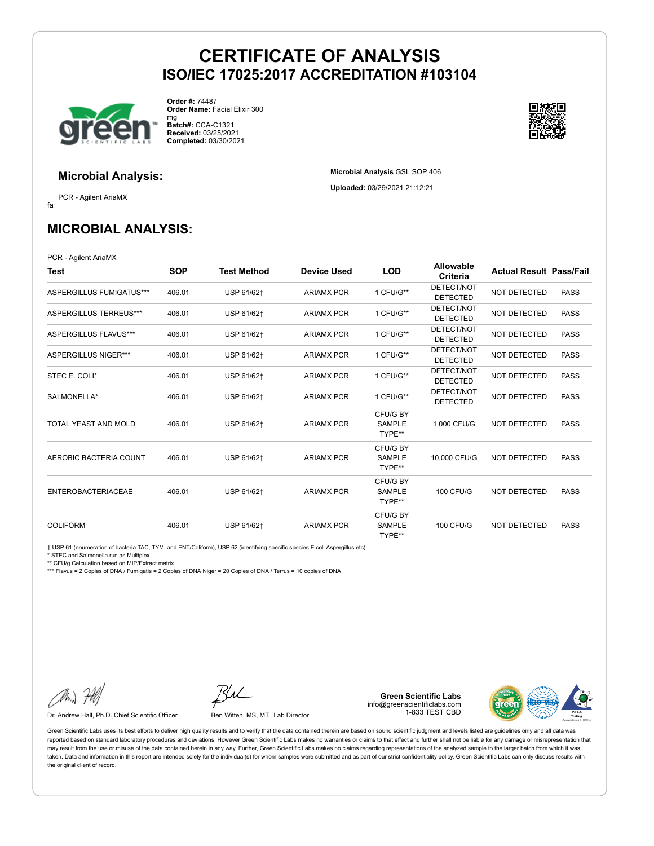**Microbial Analysis** GSL SOP 406 **Uploaded:** 03/29/2021 21:12:21



**Order #:** 74487 **Order Name:** Facial Elixir 300 mg

**Batch#:** CCA-C1321 **Received:** 03/25/2021 **Completed:** 03/30/2021



### **Microbial Analysis:**

fa PCR - Agilent AriaMX

**MICROBIAL ANALYSIS:**

PCR - Agilent AriaMX

| Test                        | <b>SOP</b> | <b>Test Method</b> | <b>Device Used</b> | <b>LOD</b>                          | <b>Allowable</b><br>Criteria  | <b>Actual Result Pass/Fail</b> |             |
|-----------------------------|------------|--------------------|--------------------|-------------------------------------|-------------------------------|--------------------------------|-------------|
| ASPERGILLUS FUMIGATUS***    | 406.01     | USP 61/62+         | <b>ARIAMX PCR</b>  | 1 CFU/G**                           | DETECT/NOT<br><b>DETECTED</b> | <b>NOT DETECTED</b>            | <b>PASS</b> |
| ASPERGILLUS TERREUS***      | 406.01     | USP 61/62+         | <b>ARIAMX PCR</b>  | 1 CFU/G**                           | DETECT/NOT<br><b>DETECTED</b> | NOT DETECTED                   | <b>PASS</b> |
| ASPERGILLUS FLAVUS***       | 406.01     | USP 61/62+         | <b>ARIAMX PCR</b>  | 1 CFU/G**                           | DETECT/NOT<br><b>DETECTED</b> | NOT DETECTED                   | <b>PASS</b> |
| <b>ASPERGILLUS NIGER***</b> | 406.01     | USP 61/62+         | <b>ARIAMX PCR</b>  | 1 CFU/G**                           | DETECT/NOT<br><b>DETECTED</b> | NOT DETECTED                   | <b>PASS</b> |
| STEC E. COLI*               | 406.01     | USP 61/62+         | <b>ARIAMX PCR</b>  | 1 CFU/G**                           | DETECT/NOT<br><b>DETECTED</b> | NOT DETECTED                   | <b>PASS</b> |
| SALMONELLA*                 | 406.01     | USP 61/62+         | <b>ARIAMX PCR</b>  | 1 CFU/G**                           | DETECT/NOT<br><b>DETECTED</b> | <b>NOT DETECTED</b>            | <b>PASS</b> |
| TOTAL YEAST AND MOLD        | 406.01     | USP 61/62+         | <b>ARIAMX PCR</b>  | CFU/G BY<br><b>SAMPLE</b><br>TYPE** | 1.000 CFU/G                   | NOT DETECTED                   | <b>PASS</b> |
| AEROBIC BACTERIA COUNT      | 406.01     | USP 61/62+         | <b>ARIAMX PCR</b>  | CFU/G BY<br><b>SAMPLE</b><br>TYPE** | 10,000 CFU/G                  | NOT DETECTED                   | <b>PASS</b> |
| <b>ENTEROBACTERIACEAE</b>   | 406.01     | USP 61/62+         | <b>ARIAMX PCR</b>  | CFU/G BY<br><b>SAMPLE</b><br>TYPE** | <b>100 CFU/G</b>              | NOT DETECTED                   | <b>PASS</b> |
| <b>COLIFORM</b>             | 406.01     | USP 61/62+         | <b>ARIAMX PCR</b>  | CFU/G BY<br><b>SAMPLE</b><br>TYPE** | <b>100 CFU/G</b>              | NOT DETECTED                   | <b>PASS</b> |

† USP 61 (enumeration of bacteria TAC, TYM, and ENT/Coliform), USP 62 (identifying specific species E.coli Aspergillus etc)

\* STEC and Salmonella run as Multiplex

\*\* CFU/g Calculation based on MIP/Extract matrix \*\*\* Flavus = 2 Copies of DNA / Fumigatis = 2 Copies of DNA Niger = 20 Copies of DNA / Terrus = 10 copies of DNA

Dr. Andrew Hall, Ph.D., Chief Scientific Officer Ben Witten, MS, MT., Lab Director

**Green Scientific Labs** info@greenscientificlabs.com 1-833 TEST CBD



Green Scientific Labs uses its best efforts to deliver high quality results and to verify that the data contained therein are based on sound scientific judgment and levels listed are guidelines only and all data was reported based on standard laboratory procedures and deviations. However Green Scientific Labs makes no warranties or claims to that effect and further shall not be liable for any damage or misrepresentation that may result from the use or misuse of the data contained herein in any way. Further, Green Scientific Labs makes no claims regarding representations of the analyzed sample to the larger batch from which it was taken. Data and information in this report are intended solely for the individual(s) for whom samples were submitted and as part of our strict confidentiality policy, Green Scientific Labs can only discuss results with the original client of record.